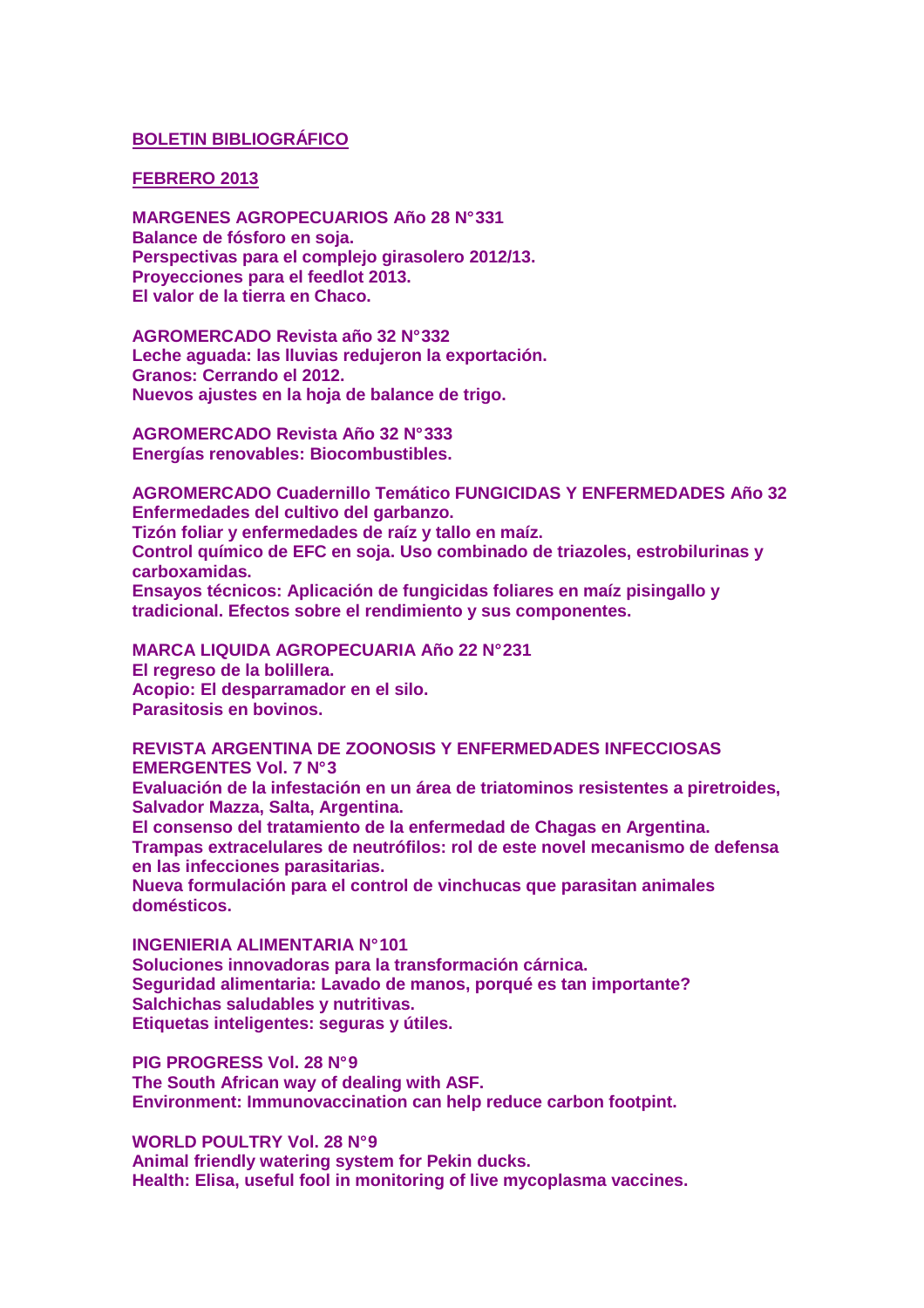### **BOLETIN BIBLIOGRÁFICO**

### **FEBRERO 2013**

**MARGENES AGROPECUARIOS Año 28 N° 331 Balance de fósforo en soja. Perspectivas para el complejo girasolero 2012/13. Proyecciones para el feedlot 2013. El valor de la tierra en Chaco.** 

**AGROMERCADO Revista año 32 N° 332 Leche aguada: las lluvias redujeron la exportación. Granos: Cerrando el 2012. Nuevos ajustes en la hoja de balance de trigo.** 

**AGROMERCADO Revista Año 32 N° 333 Energías renovables: Biocombustibles.** 

**AGROMERCADO Cuadernillo Temático FUNGICIDAS Y ENFERMEDADES Año 32 Enfermedades del cultivo del garbanzo. Tizón foliar y enfermedades de raíz y tallo en maíz. Control químico de EFC en soja. Uso combinado de triazoles, estrobilurinas y carboxamidas. Ensayos técnicos: Aplicación de fungicidas foliares en maíz pisingallo y tradicional. Efectos sobre el rendimiento y sus componentes.** 

**MARCA LIQUIDA AGROPECUARIA Año 22 N° 231 El regreso de la bolillera. Acopio: El desparramador en el silo. Parasitosis en bovinos.** 

**REVISTA ARGENTINA DE ZOONOSIS Y ENFERMEDADES INFECCIOSAS EMERGENTES Vol. 7 N° 3** 

**Evaluación de la infestación en un área de triatominos resistentes a piretroides, Salvador Mazza, Salta, Argentina.** 

**El consenso del tratamiento de la enfermedad de Chagas en Argentina.** 

**Trampas extracelulares de neutrófilos: rol de este novel mecanismo de defensa en las infecciones parasitarias.** 

**Nueva formulación para el control de vinchucas que parasitan animales domésticos.** 

**INGENIERIA ALIMENTARIA N° 101** 

**Soluciones innovadoras para la transformación cárnica. Seguridad alimentaria: Lavado de manos, porqué es tan importante? Salchichas saludables y nutritivas. Etiquetas inteligentes: seguras y útiles.** 

**PIG PROGRESS Vol. 28 N° 9 The South African way of dealing with ASF. Environment: Immunovaccination can help reduce carbon footpint.** 

**WORLD POULTRY Vol. 28 N° 9 Animal friendly watering system for Pekin ducks. Health: Elisa, useful fool in monitoring of live mycoplasma vaccines.**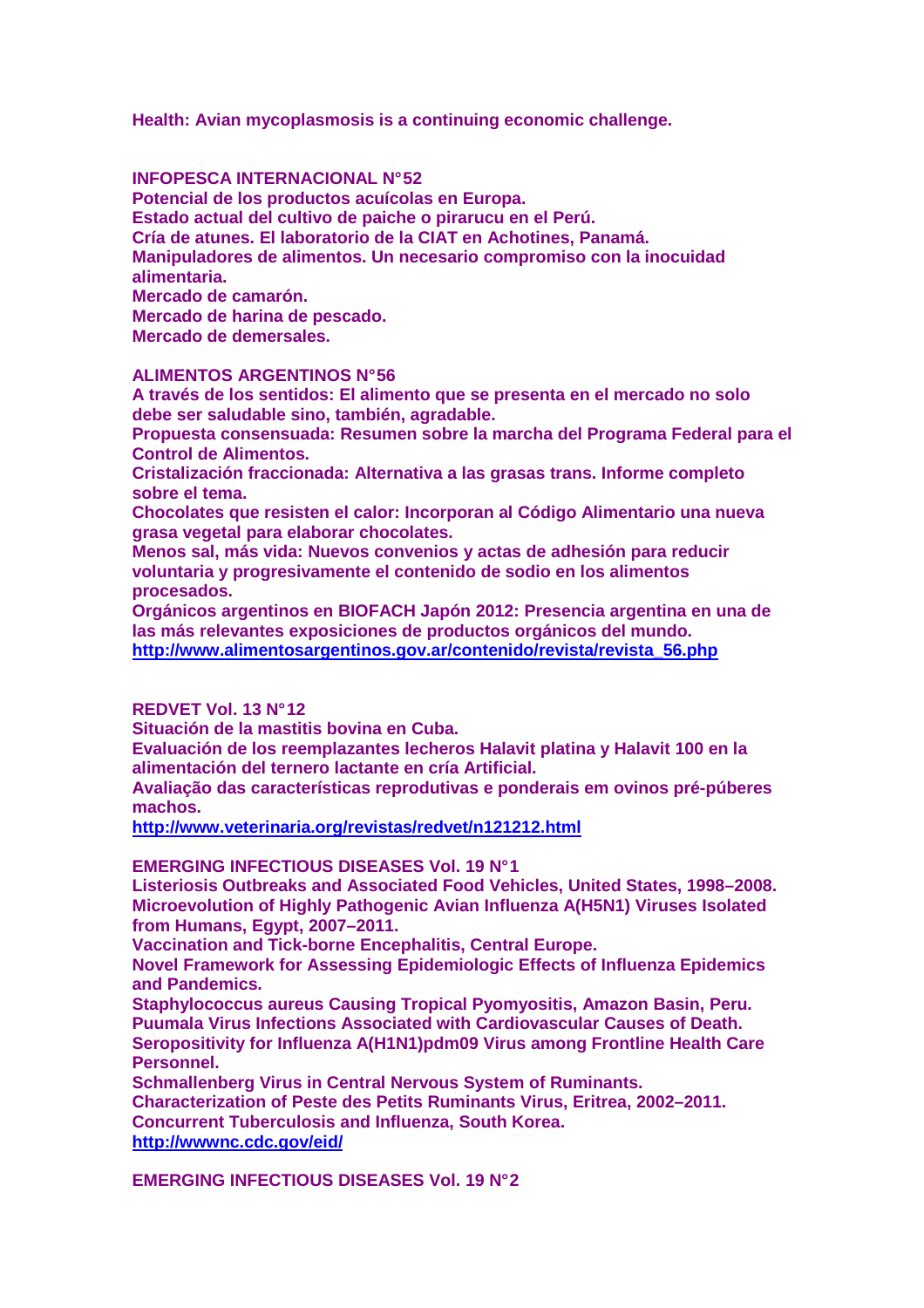**Health: Avian mycoplasmosis is a continuing economic challenge.** 

**INFOPESCA INTERNACIONAL N° 52 Potencial de los productos acuícolas en Europa. Estado actual del cultivo de paiche o pirarucu en el Perú. Cría de atunes. El laboratorio de la CIAT en Achotines, Panamá. Manipuladores de alimentos. Un necesario compromiso con la inocuidad alimentaria. Mercado de camarón. Mercado de harina de pescado. Mercado de demersales.** 

# **ALIMENTOS ARGENTINOS N° 56**

**A través de los sentidos: El alimento que se presenta en el mercado no solo debe ser saludable sino, también, agradable.** 

**Propuesta consensuada: Resumen sobre la marcha del Programa Federal para el Control de Alimentos.** 

**Cristalización fraccionada: Alternativa a las grasas trans. Informe completo sobre el tema.** 

**Chocolates que resisten el calor: Incorporan al Código Alimentario una nueva grasa vegetal para elaborar chocolates.** 

**Menos sal, más vida: Nuevos convenios y actas de adhesión para reducir voluntaria y progresivamente el contenido de sodio en los alimentos procesados.** 

**Orgánicos argentinos en BIOFACH Japón 2012: Presencia argentina en una de las más relevantes exposiciones de productos orgánicos del mundo. http://www.alimentosargentinos.gov.ar/contenido/revista/revista\_56.php**

# **REDVET Vol. 13 N° 12**

**Situación de la mastitis bovina en Cuba.** 

**Evaluación de los reemplazantes lecheros Halavit platina y Halavit 100 en la alimentación del ternero lactante en cría Artificial.** 

**Avaliação das características reprodutivas e ponderais em ovinos pré-púberes machos.** 

**http://www.veterinaria.org/revistas/redvet/n121212.html**

**EMERGING INFECTIOUS DISEASES Vol. 19 N° 1** 

**Listeriosis Outbreaks and Associated Food Vehicles, United States, 1998–2008. Microevolution of Highly Pathogenic Avian Influenza A(H5N1) Viruses Isolated from Humans, Egypt, 2007–2011.** 

**Vaccination and Tick-borne Encephalitis, Central Europe.** 

**Novel Framework for Assessing Epidemiologic Effects of Influenza Epidemics and Pandemics.** 

**Staphylococcus aureus Causing Tropical Pyomyositis, Amazon Basin, Peru. Puumala Virus Infections Associated with Cardiovascular Causes of Death. Seropositivity for Influenza A(H1N1)pdm09 Virus among Frontline Health Care Personnel.** 

**Schmallenberg Virus in Central Nervous System of Ruminants. Characterization of Peste des Petits Ruminants Virus, Eritrea, 2002–2011. Concurrent Tuberculosis and Influenza, South Korea. http://wwwnc.cdc.gov/eid/**

**EMERGING INFECTIOUS DISEASES Vol. 19 N° 2**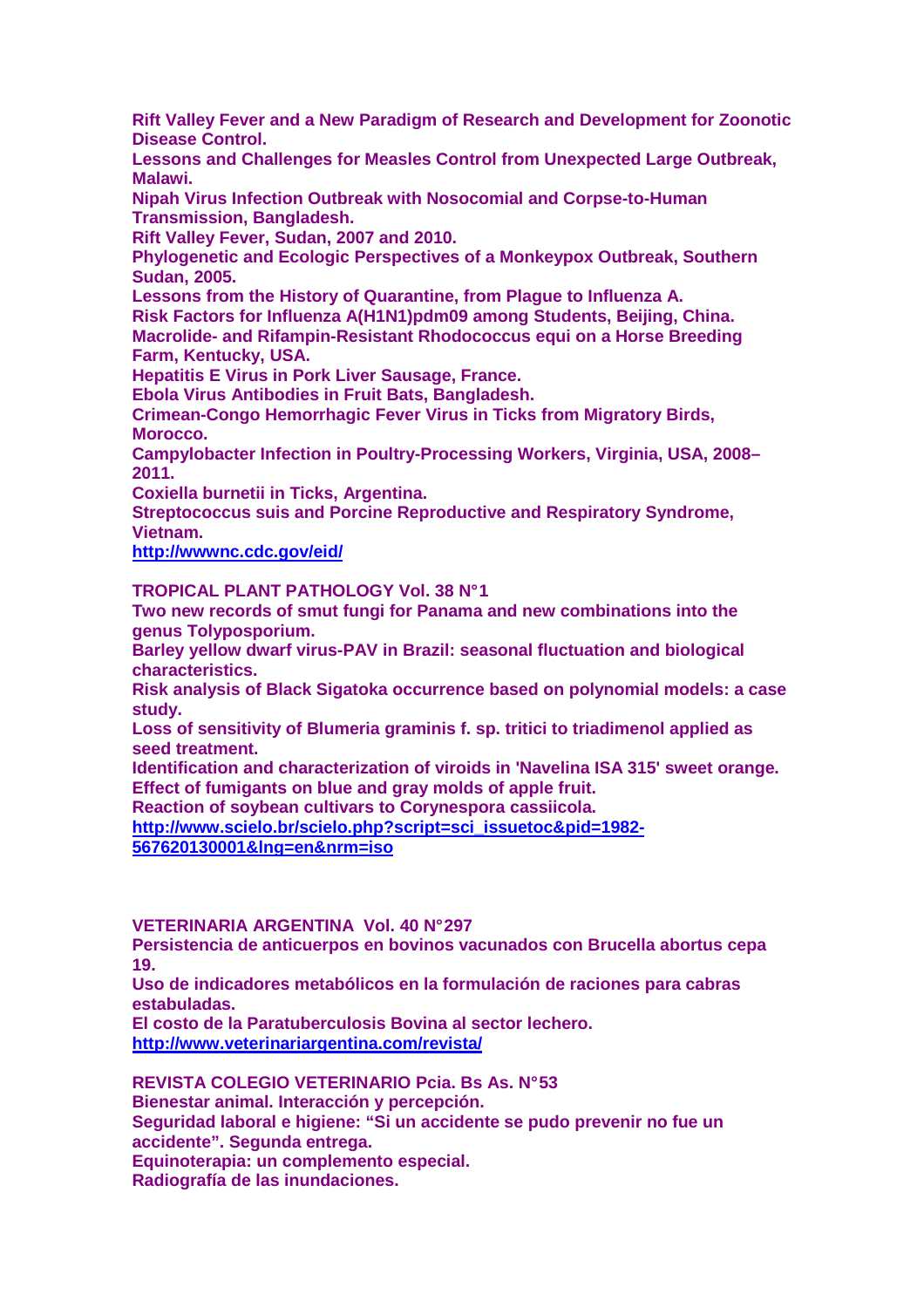**Rift Valley Fever and a New Paradigm of Research and Development for Zoonotic Disease Control.** 

**Lessons and Challenges for Measles Control from Unexpected Large Outbreak, Malawi.** 

**Nipah Virus Infection Outbreak with Nosocomial and Corpse-to-Human Transmission, Bangladesh.** 

**Rift Valley Fever, Sudan, 2007 and 2010.** 

**Phylogenetic and Ecologic Perspectives of a Monkeypox Outbreak, Southern Sudan, 2005.** 

**Lessons from the History of Quarantine, from Plague to Influenza A.** 

**Risk Factors for Influenza A(H1N1)pdm09 among Students, Beijing, China. Macrolide- and Rifampin-Resistant Rhodococcus equi on a Horse Breeding Farm, Kentucky, USA.** 

**Hepatitis E Virus in Pork Liver Sausage, France.** 

**Ebola Virus Antibodies in Fruit Bats, Bangladesh.** 

**Crimean-Congo Hemorrhagic Fever Virus in Ticks from Migratory Birds, Morocco.** 

**Campylobacter Infection in Poultry-Processing Workers, Virginia, USA, 2008– 2011.** 

**Coxiella burnetii in Ticks, Argentina.** 

**Streptococcus suis and Porcine Reproductive and Respiratory Syndrome, Vietnam.** 

**http://wwwnc.cdc.gov/eid/**

**TROPICAL PLANT PATHOLOGY Vol. 38 N° 1** 

**Two new records of smut fungi for Panama and new combinations into the genus Tolyposporium.** 

**Barley yellow dwarf virus-PAV in Brazil: seasonal fluctuation and biological characteristics.** 

**Risk analysis of Black Sigatoka occurrence based on polynomial models: a case study.** 

**Loss of sensitivity of Blumeria graminis f. sp. tritici to triadimenol applied as seed treatment.** 

**Identification and characterization of viroids in 'Navelina ISA 315' sweet orange. Effect of fumigants on blue and gray molds of apple fruit.** 

**Reaction of soybean cultivars to Corynespora cassiicola.** 

**http://www.scielo.br/scielo.php?script=sci\_issuetoc&pid=1982- 567620130001&lng=en&nrm=iso**

### **VETERINARIA ARGENTINA Vol. 40 N° 297**

**Persistencia de anticuerpos en bovinos vacunados con Brucella abortus cepa 19.** 

**Uso de indicadores metabólicos en la formulación de raciones para cabras estabuladas.** 

**El costo de la Paratuberculosis Bovina al sector lechero. http://www.veterinariargentina.com/revista/**

**REVISTA COLEGIO VETERINARIO Pcia. Bs As. N° 53 Bienestar animal. Interacción y percepción. Seguridad laboral e higiene: "Si un accidente se pudo prevenir no fue un accidente". Segunda entrega. Equinoterapia: un complemento especial. Radiografía de las inundaciones.**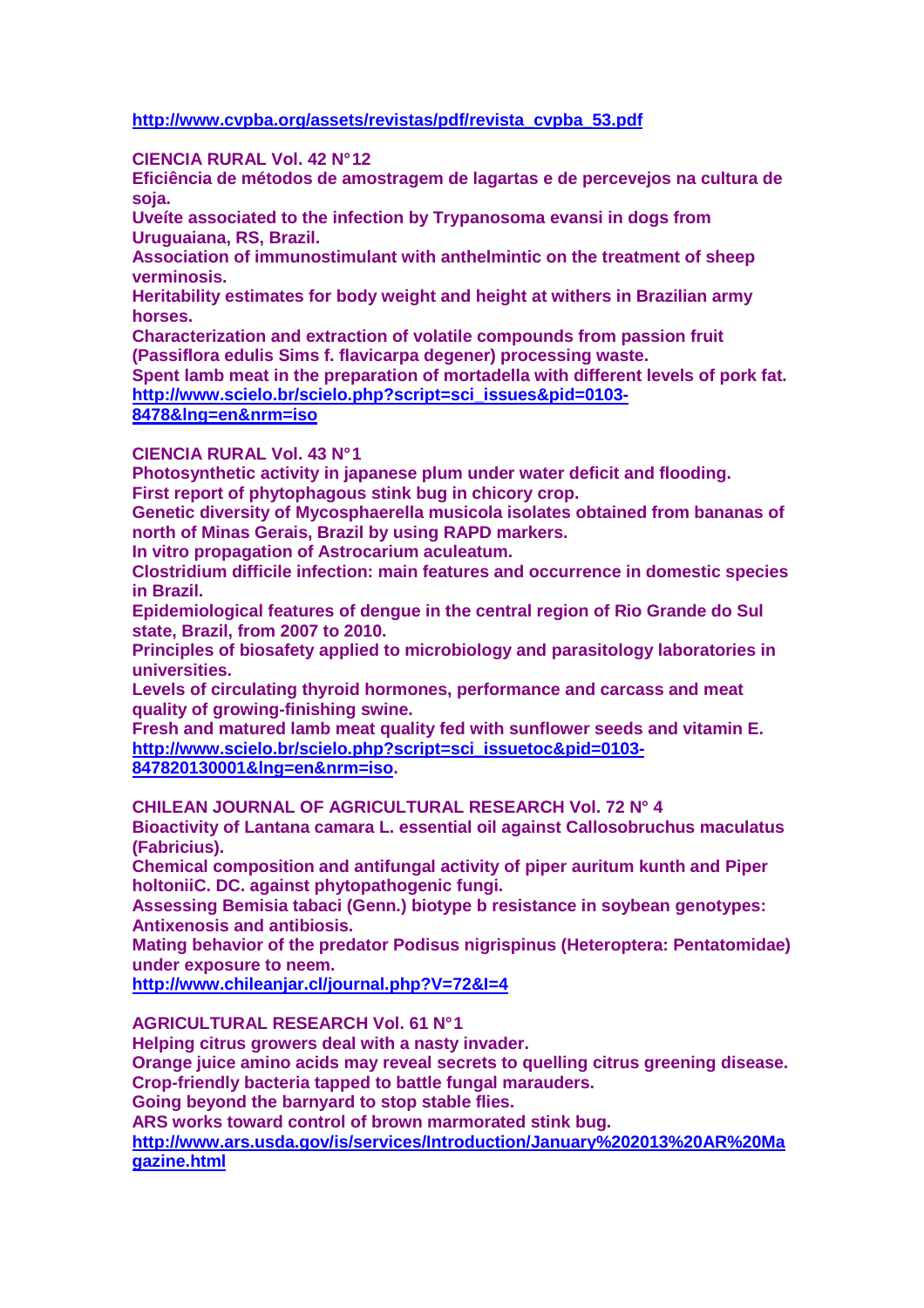# **http://www.cvpba.org/assets/revistas/pdf/revista\_cvpba\_53.pdf**

#### **CIENCIA RURAL Vol. 42 N° 12**

**Eficiência de métodos de amostragem de lagartas e de percevejos na cultura de soja.** 

**Uveíte associated to the infection by Trypanosoma evansi in dogs from Uruguaiana, RS, Brazil.** 

**Association of immunostimulant with anthelmintic on the treatment of sheep verminosis.** 

**Heritability estimates for body weight and height at withers in Brazilian army horses.** 

**Characterization and extraction of volatile compounds from passion fruit (Passiflora edulis Sims f. flavicarpa degener) processing waste.** 

**Spent lamb meat in the preparation of mortadella with different levels of pork fat. http://www.scielo.br/scielo.php?script=sci\_issues&pid=0103-**

## **8478&lng=en&nrm=iso**

#### **CIENCIA RURAL Vol. 43 N° 1**

**Photosynthetic activity in japanese plum under water deficit and flooding. First report of phytophagous stink bug in chicory crop.** 

**Genetic diversity of Mycosphaerella musicola isolates obtained from bananas of north of Minas Gerais, Brazil by using RAPD markers.** 

**In vitro propagation of Astrocarium aculeatum.** 

**Clostridium difficile infection: main features and occurrence in domestic species in Brazil.** 

**Epidemiological features of dengue in the central region of Rio Grande do Sul state, Brazil, from 2007 to 2010.** 

**Principles of biosafety applied to microbiology and parasitology laboratories in universities.** 

**Levels of circulating thyroid hormones, performance and carcass and meat quality of growing-finishing swine.** 

**Fresh and matured lamb meat quality fed with sunflower seeds and vitamin E. http://www.scielo.br/scielo.php?script=sci\_issuetoc&pid=0103- 847820130001&lng=en&nrm=iso.** 

**CHILEAN JOURNAL OF AGRICULTURAL RESEARCH Vol. 72 N° 4** 

**Bioactivity of Lantana camara L. essential oil against Callosobruchus maculatus (Fabricius).** 

**Chemical composition and antifungal activity of piper auritum kunth and Piper holtoniiC. DC. against phytopathogenic fungi.** 

**Assessing Bemisia tabaci (Genn.) biotype b resistance in soybean genotypes: Antixenosis and antibiosis.** 

**Mating behavior of the predator Podisus nigrispinus (Heteroptera: Pentatomidae) under exposure to neem.** 

**http://www.chileanjar.cl/journal.php?V=72&I=4**

**AGRICULTURAL RESEARCH Vol. 61 N° 1** 

**Helping citrus growers deal with a nasty invader.** 

**Orange juice amino acids may reveal secrets to quelling citrus greening disease. Crop-friendly bacteria tapped to battle fungal marauders.** 

**Going beyond the barnyard to stop stable flies.** 

**ARS works toward control of brown marmorated stink bug.** 

**http://www.ars.usda.gov/is/services/Introduction/January%202013%20AR%20Ma gazine.html**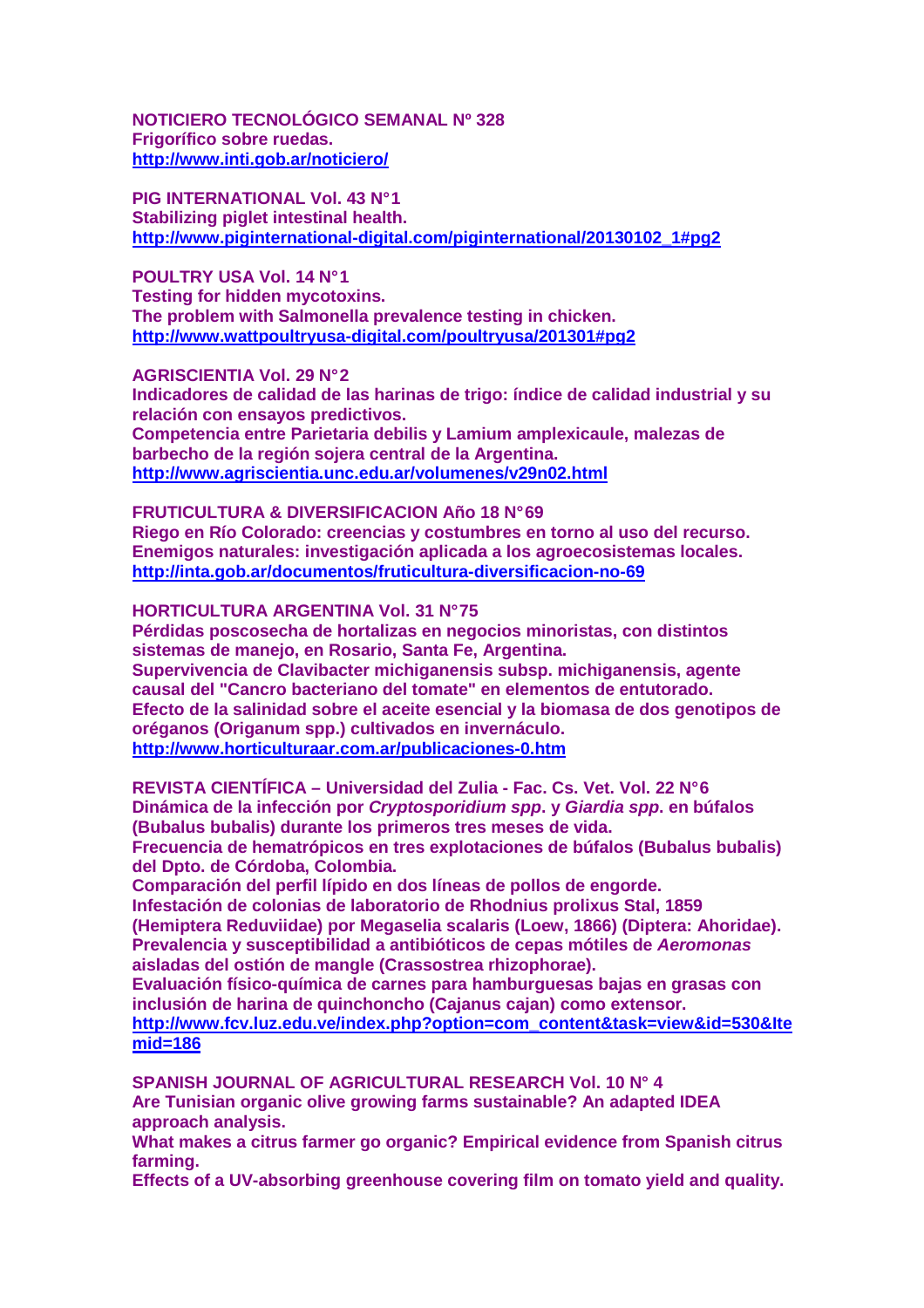**NOTICIERO TECNOLÓGICO SEMANAL Nº 328 Frigorífico sobre ruedas. http://www.inti.gob.ar/noticiero/**

**PIG INTERNATIONAL Vol. 43 N° 1 Stabilizing piglet intestinal health. http://www.piginternational-digital.com/piginternational/20130102\_1#pg2**

**POULTRY USA Vol. 14 N° 1 Testing for hidden mycotoxins. The problem with Salmonella prevalence testing in chicken. http://www.wattpoultryusa-digital.com/poultryusa/201301#pg2**

**AGRISCIENTIA Vol. 29 N° 2** 

**Indicadores de calidad de las harinas de trigo: índice de calidad industrial y su relación con ensayos predictivos.** 

**Competencia entre Parietaria debilis y Lamium amplexicaule, malezas de barbecho de la región sojera central de la Argentina. http://www.agriscientia.unc.edu.ar/volumenes/v29n02.html**

**FRUTICULTURA & DIVERSIFICACION Año 18 N° 69 Riego en Río Colorado: creencias y costumbres en torno al uso del recurso. Enemigos naturales: investigación aplicada a los agroecosistemas locales. http://inta.gob.ar/documentos/fruticultura-diversificacion-no-69**

**HORTICULTURA ARGENTINA Vol. 31 N° 75** 

**Pérdidas poscosecha de hortalizas en negocios minoristas, con distintos sistemas de manejo, en Rosario, Santa Fe, Argentina. Supervivencia de Clavibacter michiganensis subsp. michiganensis, agente causal del "Cancro bacteriano del tomate" en elementos de entutorado. Efecto de la salinidad sobre el aceite esencial y la biomasa de dos genotipos de oréganos (Origanum spp.) cultivados en invernáculo. http://www.horticulturaar.com.ar/publicaciones-0.htm**

**REVISTA CIENTÍFICA – Universidad del Zulia - Fac. Cs. Vet. Vol. 22 N° 6 Dinámica de la infección por Cryptosporidium spp. y Giardia spp. en búfalos (Bubalus bubalis) durante los primeros tres meses de vida. Frecuencia de hematrópicos en tres explotaciones de búfalos (Bubalus bubalis) del Dpto. de Córdoba, Colombia.** 

**Comparación del perfil lípido en dos líneas de pollos de engorde. Infestación de colonias de laboratorio de Rhodnius prolixus Stal, 1859 (Hemiptera Reduviidae) por Megaselia scalaris (Loew, 1866) (Diptera: Ahoridae). Prevalencia y susceptibilidad a antibióticos de cepas mótiles de Aeromonas aisladas del ostión de mangle (Crassostrea rhizophorae).** 

**Evaluación físico-química de carnes para hamburguesas bajas en grasas con inclusión de harina de quinchoncho (Cajanus cajan) como extensor. http://www.fcv.luz.edu.ve/index.php?option=com\_content&task=view&id=530&Ite mid=186**

**SPANISH JOURNAL OF AGRICULTURAL RESEARCH Vol. 10 N° 4 Are Tunisian organic olive growing farms sustainable? An adapted IDEA approach analysis.** 

**What makes a citrus farmer go organic? Empirical evidence from Spanish citrus farming.** 

**Effects of a UV-absorbing greenhouse covering film on tomato yield and quality.**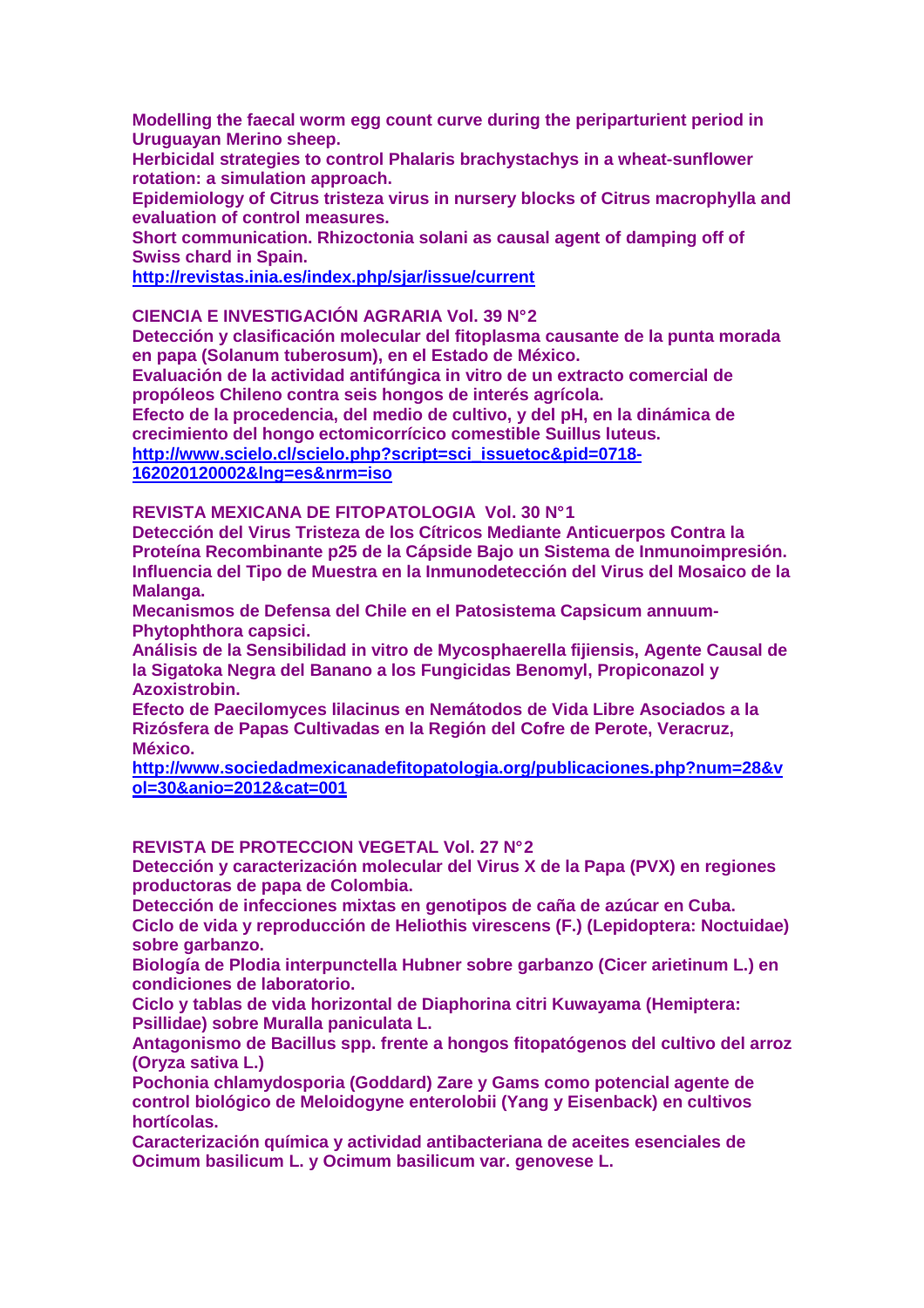**Modelling the faecal worm egg count curve during the periparturient period in Uruguayan Merino sheep.** 

**Herbicidal strategies to control Phalaris brachystachys in a wheat-sunflower rotation: a simulation approach.** 

**Epidemiology of Citrus tristeza virus in nursery blocks of Citrus macrophylla and evaluation of control measures.** 

**Short communication. Rhizoctonia solani as causal agent of damping off of Swiss chard in Spain.** 

**http://revistas.inia.es/index.php/sjar/issue/current**

#### **CIENCIA E INVESTIGACIÓN AGRARIA Vol. 39 N° 2**

**Detección y clasificación molecular del fitoplasma causante de la punta morada en papa (Solanum tuberosum), en el Estado de México.** 

**Evaluación de la actividad antifúngica in vitro de un extracto comercial de propóleos Chileno contra seis hongos de interés agrícola.** 

**Efecto de la procedencia, del medio de cultivo, y del pH, en la dinámica de crecimiento del hongo ectomicorrícico comestible Suillus luteus.** 

**http://www.scielo.cl/scielo.php?script=sci\_issuetoc&pid=0718-**

**162020120002&lng=es&nrm=iso**

**REVISTA MEXICANA DE FITOPATOLOGIA Vol. 30 N° 1** 

**Detección del Virus Tristeza de los Cítricos Mediante Anticuerpos Contra la Proteína Recombinante p25 de la Cápside Bajo un Sistema de Inmunoimpresión. Influencia del Tipo de Muestra en la Inmunodetección del Virus del Mosaico de la Malanga.** 

**Mecanismos de Defensa del Chile en el Patosistema Capsicum annuum-Phytophthora capsici.** 

**Análisis de la Sensibilidad in vitro de Mycosphaerella fijiensis, Agente Causal de la Sigatoka Negra del Banano a los Fungicidas Benomyl, Propiconazol y Azoxistrobin.** 

**Efecto de Paecilomyces lilacinus en Nemátodos de Vida Libre Asociados a la Rizósfera de Papas Cultivadas en la Región del Cofre de Perote, Veracruz, México.** 

**http://www.sociedadmexicanadefitopatologia.org/publicaciones.php?num=28&v ol=30&anio=2012&cat=001**

#### **REVISTA DE PROTECCION VEGETAL Vol. 27 N° 2**

**Detección y caracterización molecular del Virus X de la Papa (PVX) en regiones productoras de papa de Colombia.** 

**Detección de infecciones mixtas en genotipos de caña de azúcar en Cuba. Ciclo de vida y reproducción de Heliothis virescens (F.) (Lepidoptera: Noctuidae) sobre garbanzo.** 

**Biología de Plodia interpunctella Hubner sobre garbanzo (Cicer arietinum L.) en condiciones de laboratorio.** 

**Ciclo y tablas de vida horizontal de Diaphorina citri Kuwayama (Hemiptera: Psillidae) sobre Muralla paniculata L.** 

**Antagonismo de Bacillus spp. frente a hongos fitopatógenos del cultivo del arroz (Oryza sativa L.)** 

**Pochonia chlamydosporia (Goddard) Zare y Gams como potencial agente de control biológico de Meloidogyne enterolobii (Yang y Eisenback) en cultivos hortícolas.** 

**Caracterización química y actividad antibacteriana de aceites esenciales de Ocimum basilicum L. y Ocimum basilicum var. genovese L.**